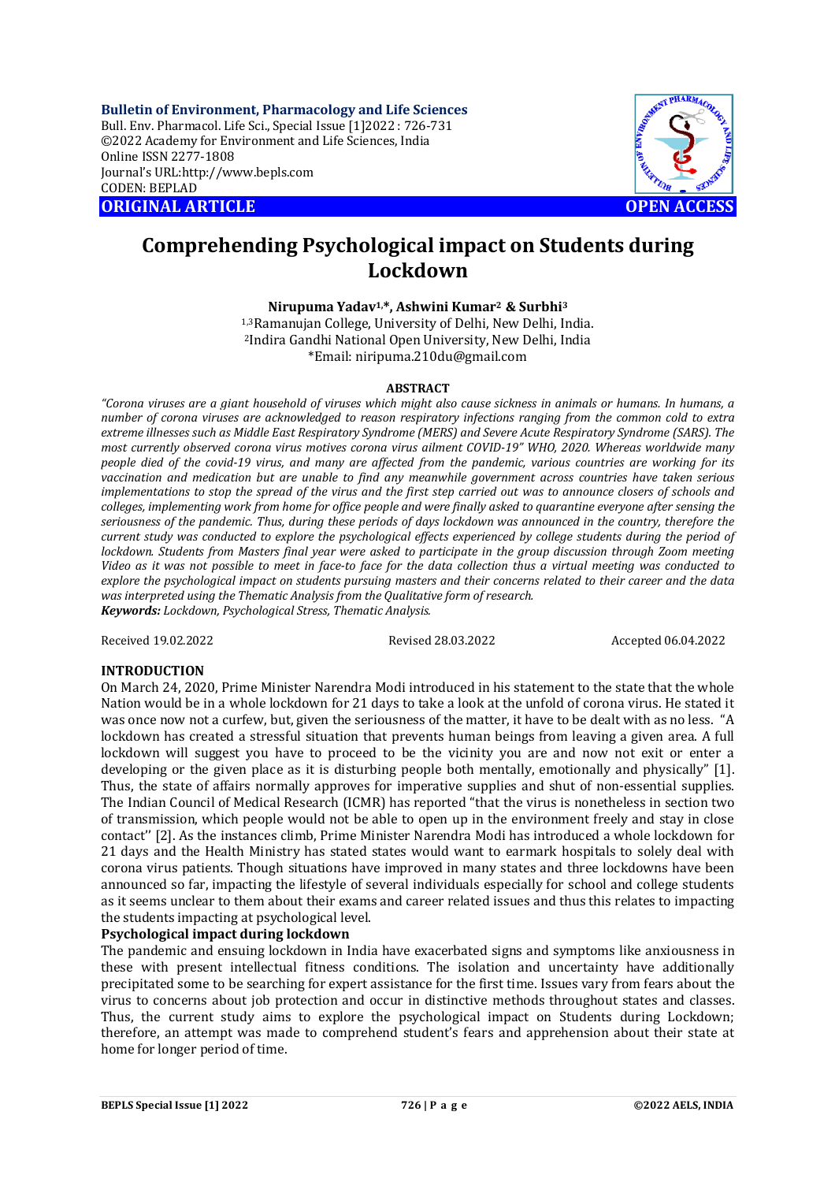**Bulletin of Environment, Pharmacology and Life Sciences** Bull. Env. Pharmacol. Life Sci., Special Issue [1]2022 : 726-731 ©2022 Academy for Environment and Life Sciences, India Online ISSN 2277-1808 Journal's URL:<http://www.bepls.com> CODEN: BEPLAD **ORIGINAL ARTICLE OPEN ACCESS** 



# **Comprehending Psychological impact on Students during Lockdown**

**Nirupuma Yadav1,\*, Ashwini Kumar2 & Surbhi<sup>3</sup>**

1,3Ramanujan College, University of Delhi, New Delhi, India. <sup>2</sup>Indira Gandhi National Open University, New Delhi, India \*Email: [niripuma.210du@gmail.com](mailto:niripuma.210du@gmail.com)

## **ABSTRACT**

*"Corona viruses are a giant household of viruses which might also cause sickness in animals or humans. In humans, a number of corona viruses are acknowledged to reason respiratory infections ranging from the common cold to extra extreme illnesses such as Middle East Respiratory Syndrome (MERS) and Severe Acute Respiratory Syndrome (SARS). The most currently observed corona virus motives corona virus ailment COVID-19" WHO, 2020. Whereas worldwide many people died of the covid-19 virus, and many are affected from the pandemic, various countries are working for its vaccination and medication but are unable to find any meanwhile government across countries have taken serious implementations to stop the spread of the virus and the first step carried out was to announce closers of schools and colleges, implementing work from home for office people and were finally asked to quarantine everyone after sensing the seriousness of the pandemic. Thus, during these periods of days lockdown was announced in the country, therefore the current study was conducted to explore the psychological effects experienced by college students during the period of lockdown. Students from Masters final year were asked to participate in the group discussion through Zoom meeting Video as it was not possible to meet in face-to face for the data collection thus a virtual meeting was conducted to explore the psychological impact on students pursuing masters and their concerns related to their career and the data was interpreted using the Thematic Analysis from the Qualitative form of research. Keywords: Lockdown, Psychological Stress, Thematic Analysis.*

Received 19.02.2022 Revised 28.03.2022 Accepted 06.04.2022

# **INTRODUCTION**

On March 24, 2020, Prime Minister Narendra Modi introduced in his statement to the state that the whole Nation would be in a whole lockdown for 21 days to take a look at the unfold of corona virus. He stated it was once now not a curfew, but, given the seriousness of the matter, it have to be dealt with as no less. "A lockdown has created a stressful situation that prevents human beings from leaving a given area. A full lockdown will suggest you have to proceed to be the vicinity you are and now not exit or enter a developing or the given place as it is disturbing people both mentally, emotionally and physically" [1]. Thus, the state of affairs normally approves for imperative supplies and shut of non-essential supplies. The Indian Council of Medical Research (ICMR) has reported "that the virus is nonetheless in section two of transmission, which people would not be able to open up in the environment freely and stay in close contact'' [2]. As the instances climb, Prime Minister Narendra Modi has introduced a whole lockdown for 21 days and the Health Ministry has stated states would want to earmark hospitals to solely deal with corona virus patients. Though situations have improved in many states and three lockdowns have been announced so far, impacting the lifestyle of several individuals especially for school and college students as it seems unclear to them about their exams and career related issues and thus this relates to impacting the students impacting at psychological level.

## **Psychological impact during lockdown**

The pandemic and ensuing lockdown in India have exacerbated signs and symptoms like anxiousness in these with present intellectual fitness conditions. The isolation and uncertainty have additionally precipitated some to be searching for expert assistance for the first time. Issues vary from fears about the virus to concerns about job protection and occur in distinctive methods throughout states and classes. Thus, the current study aims to explore the psychological impact on Students during Lockdown; therefore, an attempt was made to comprehend student's fears and apprehension about their state at home for longer period of time.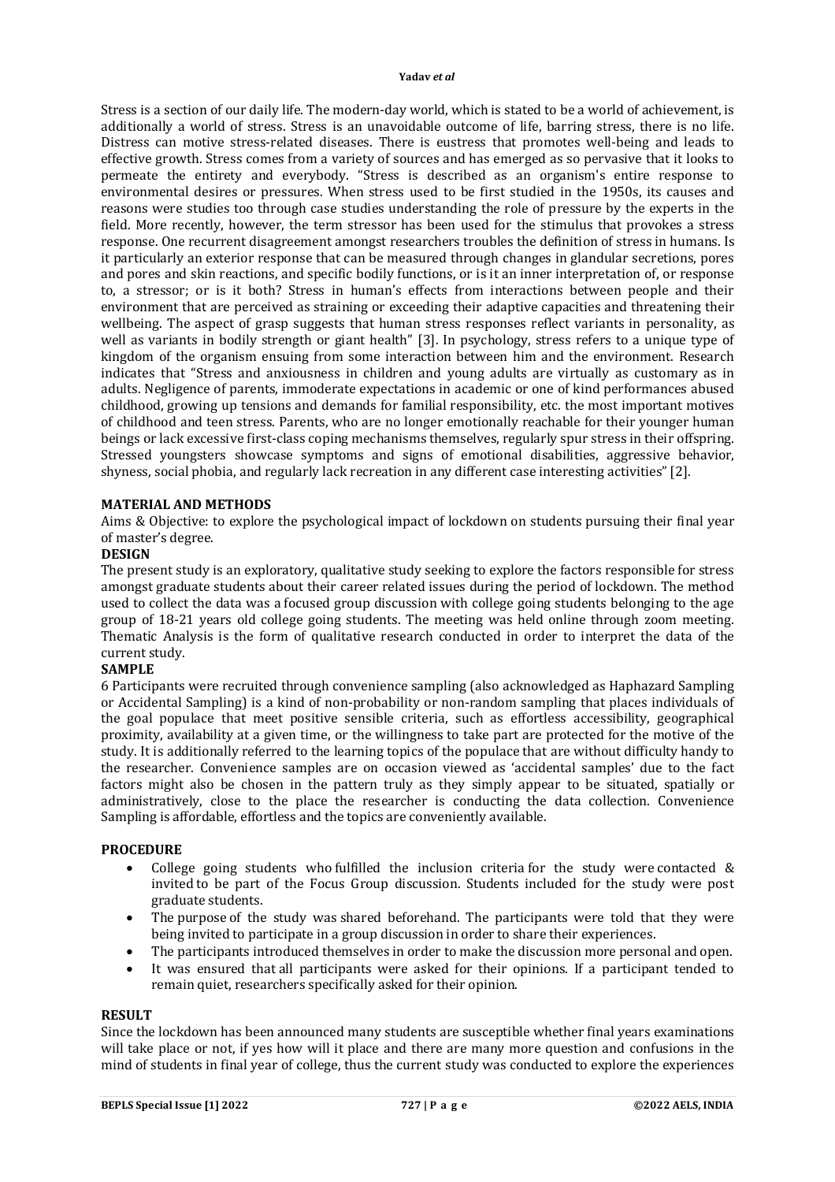Stress is a section of our daily life. The modern-day world, which is stated to be a world of achievement, is additionally a world of stress. Stress is an unavoidable outcome of life, barring stress, there is no life. Distress can motive stress-related diseases. There is eustress that promotes well-being and leads to effective growth. Stress comes from a variety of sources and has emerged as so pervasive that it looks to permeate the entirety and everybody. "Stress is described as an organism's entire response to environmental desires or pressures. When stress used to be first studied in the 1950s, its causes and reasons were studies too through case studies understanding the role of pressure by the experts in the field. More recently, however, the term stressor has been used for the stimulus that provokes a stress response. One recurrent disagreement amongst researchers troubles the definition of stress in humans. Is it particularly an exterior response that can be measured through changes in glandular secretions, pores and pores and skin reactions, and specific bodily functions, or is it an inner interpretation of, or response to, a stressor; or is it both? Stress in human's effects from interactions between people and their environment that are perceived as straining or exceeding their adaptive capacities and threatening their wellbeing. The aspect of grasp suggests that human stress responses reflect variants in personality, as well as variants in bodily strength or giant health" [3]. In psychology, stress refers to a unique type of kingdom of the organism ensuing from some interaction between him and the environment. Research indicates that "Stress and anxiousness in children and young adults are virtually as customary as in adults. Negligence of parents, immoderate expectations in academic or one of kind performances abused childhood, growing up tensions and demands for familial responsibility, etc. the most important motives of childhood and teen stress. Parents, who are no longer emotionally reachable for their younger human beings or lack excessive first-class coping mechanisms themselves, regularly spur stress in their offspring. Stressed youngsters showcase symptoms and signs of emotional disabilities, aggressive behavior, shyness, social phobia, and regularly lack recreation in any different case interesting activities" [2].

## **MATERIAL AND METHODS**

Aims & Objective: to explore the psychological impact of lockdown on students pursuing their final year of master's degree.

# **DESIGN**

The present study is an exploratory, qualitative study seeking to explore the factors responsible for stress amongst graduate students about their career related issues during the period of lockdown. The method used to collect the data was a focused group discussion with college going students belonging to the age group of 18-21 years old college going students. The meeting was held online through zoom meeting. Thematic Analysis is the form of qualitative research conducted in order to interpret the data of the current study.

# **SAMPLE**

6 Participants were recruited through convenience sampling (also acknowledged as Haphazard Sampling or Accidental Sampling) is a kind of non-probability or non-random sampling that places individuals of the goal populace that meet positive sensible criteria, such as effortless accessibility, geographical proximity, availability at a given time, or the willingness to take part are protected for the motive of the study. It is additionally referred to the learning topics of the populace that are without difficulty handy to the researcher. Convenience samples are on occasion viewed as 'accidental samples' due to the fact factors might also be chosen in the pattern truly as they simply appear to be situated, spatially or administratively, close to the place the researcher is conducting the data collection. Convenience Sampling is affordable, effortless and the topics are conveniently available.

#### **PROCEDURE**

- College going students who fulfilled the inclusion criteria for the study were contacted & invited to be part of the Focus Group discussion. Students included for the study were post graduate students.
- The purpose of the study was shared beforehand. The participants were told that they were being invited to participate in a group discussion in order to share their experiences.
- The participants introduced themselves in order to make the discussion more personal and open.
- It was ensured that all participants were asked for their opinions. If a participant tended to remain quiet, researchers specifically asked for their opinion.

## **RESULT**

Since the lockdown has been announced many students are susceptible whether final years examinations will take place or not, if yes how will it place and there are many more question and confusions in the mind of students in final year of college, thus the current study was conducted to explore the experiences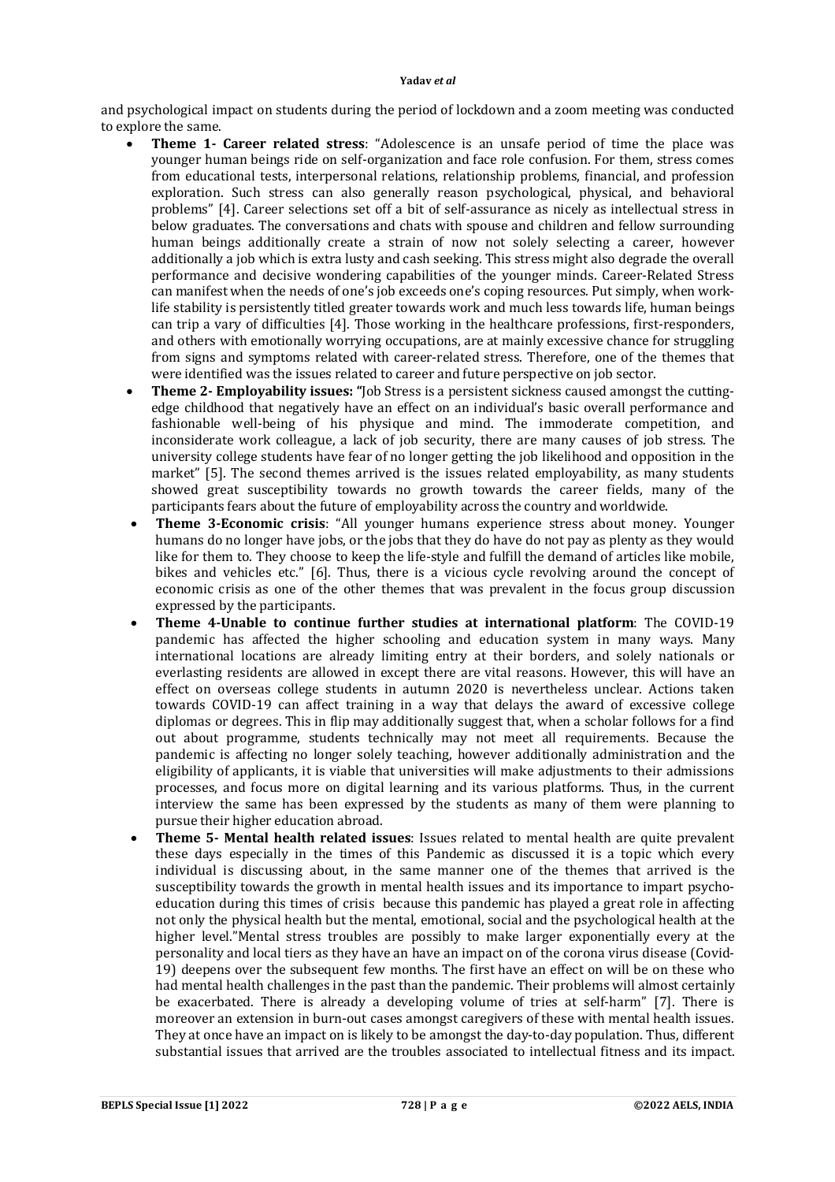and psychological impact on students during the period of lockdown and a zoom meeting was conducted to explore the same.

- **Theme 1- Career related stress**: "Adolescence is an unsafe period of time the place was younger human beings ride on self-organization and face role confusion. For them, stress comes from educational tests, interpersonal relations, relationship problems, financial, and profession exploration. Such stress can also generally reason psychological, physical, and behavioral problems" [4]. Career selections set off a bit of self-assurance as nicely as intellectual stress in below graduates. The conversations and chats with spouse and children and fellow surrounding human beings additionally create a strain of now not solely selecting a career, however additionally a job which is extra lusty and cash seeking. This stress might also degrade the overall performance and decisive wondering capabilities of the younger minds. Career-Related Stress can manifest when the needs of one's job exceeds one's coping resources. Put simply, when worklife stability is persistently titled greater towards work and much less towards life, human beings can trip a vary of difficulties [4]. Those working in the healthcare professions, first-responders, and others with emotionally worrying occupations, are at mainly excessive chance for struggling from signs and symptoms related with career-related stress. Therefore, one of the themes that were identified was the issues related to career and future perspective on job sector.
- **Theme 2- Employability issues: "**Job Stress is a persistent sickness caused amongst the cuttingedge childhood that negatively have an effect on an individual's basic overall performance and fashionable well-being of his physique and mind. The immoderate competition, and inconsiderate work colleague, a lack of job security, there are many causes of job stress. The university college students have fear of no longer getting the job likelihood and opposition in the market" [5]. The second themes arrived is the issues related employability, as many students showed great susceptibility towards no growth towards the career fields, many of the participants fears about the future of employability across the country and worldwide.
- **Theme 3-Economic crisis**: "All younger humans experience stress about money. Younger humans do no longer have jobs, or the jobs that they do have do not pay as plenty as they would like for them to. They choose to keep the life-style and fulfill the demand of articles like mobile, bikes and vehicles etc." [6]. Thus, there is a vicious cycle revolving around the concept of economic crisis as one of the other themes that was prevalent in the focus group discussion expressed by the participants.
- **Theme 4-Unable to continue further studies at international platform**: The COVID-19 pandemic has affected the higher schooling and education system in many ways. Many international locations are already limiting entry at their borders, and solely nationals or everlasting residents are allowed in except there are vital reasons. However, this will have an effect on overseas college students in autumn 2020 is nevertheless unclear. Actions taken towards COVID-19 can affect training in a way that delays the award of excessive college diplomas or degrees. This in flip may additionally suggest that, when a scholar follows for a find out about programme, students technically may not meet all requirements. Because the pandemic is affecting no longer solely teaching, however additionally administration and the eligibility of applicants, it is viable that universities will make adjustments to their admissions processes, and focus more on digital learning and its various platforms. Thus, in the current interview the same has been expressed by the students as many of them were planning to pursue their higher education abroad.
- **Theme 5- Mental health related issues**: Issues related to mental health are quite prevalent these days especially in the times of this Pandemic as discussed it is a topic which every individual is discussing about, in the same manner one of the themes that arrived is the susceptibility towards the growth in mental health issues and its importance to impart psychoeducation during this times of crisis because this pandemic has played a great role in affecting not only the physical health but the mental, emotional, social and the psychological health at the higher level."Mental stress troubles are possibly to make larger exponentially every at the personality and local tiers as they have an have an impact on of the corona virus disease (Covid-19) deepens over the subsequent few months. The first have an effect on will be on these who had mental health challenges in the past than the pandemic. Their problems will almost certainly be exacerbated. There is already a developing volume of tries at self-harm" [7]. There is moreover an extension in burn-out cases amongst caregivers of these with mental health issues. They at once have an impact on is likely to be amongst the day-to-day population. Thus, different substantial issues that arrived are the troubles associated to intellectual fitness and its impact.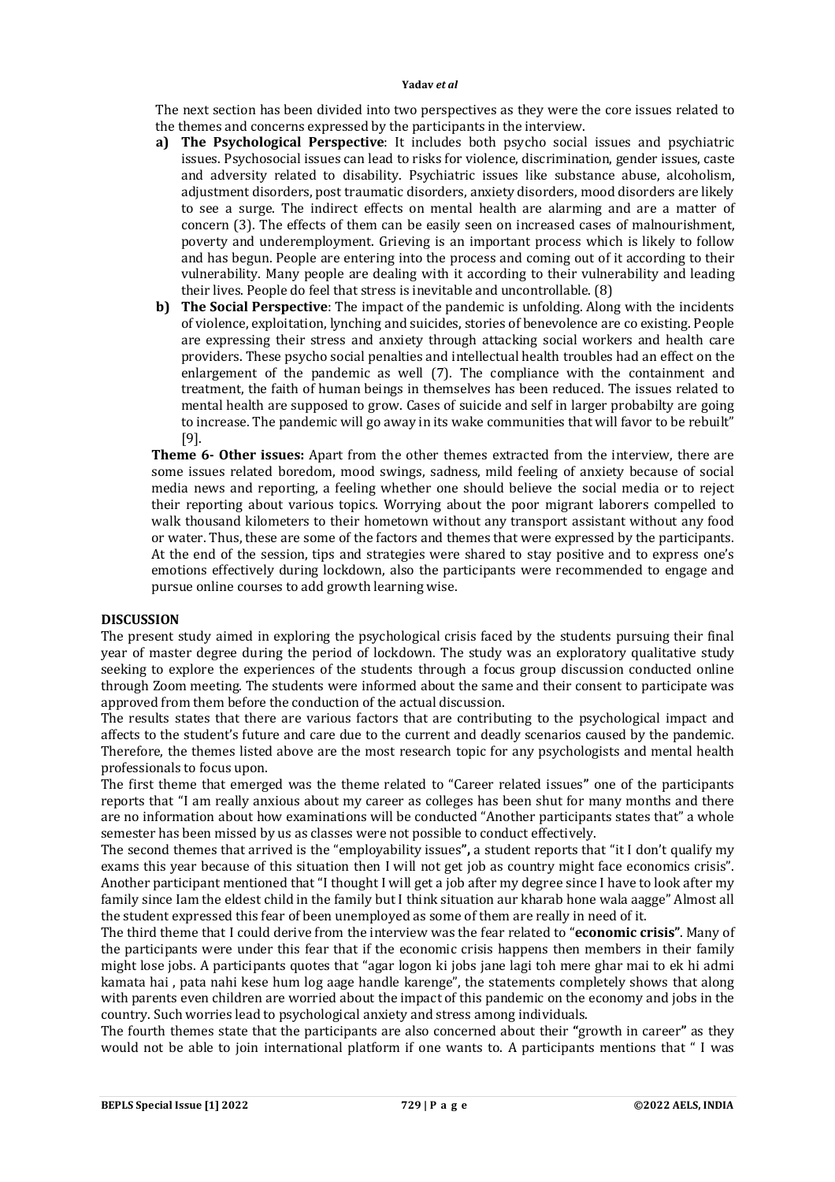The next section has been divided into two perspectives as they were the core issues related to the themes and concerns expressed by the participants in the interview.

- **a) The Psychological Perspective**: It includes both psycho social issues and psychiatric issues. Psychosocial issues can lead to risks for violence, discrimination, gender issues, caste and adversity related to disability. Psychiatric issues like substance abuse, alcoholism, adjustment disorders, post traumatic disorders, anxiety disorders, mood disorders are likely to see a surge. The indirect effects on mental health are alarming and are a matter of concern (3). The effects of them can be easily seen on increased cases of malnourishment, poverty and underemployment. Grieving is an important process which is likely to follow and has begun. People are entering into the process and coming out of it according to their vulnerability. Many people are dealing with it according to their vulnerability and leading their lives. People do feel that stress is inevitable and uncontrollable. (8)
- **b) The Social Perspective**: The impact of the pandemic is unfolding. Along with the incidents of violence, exploitation, lynching and suicides, stories of benevolence are co existing. People are expressing their stress and anxiety through attacking social workers and health care providers. These psycho social penalties and intellectual health troubles had an effect on the enlargement of the pandemic as well (7). The compliance with the containment and treatment, the faith of human beings in themselves has been reduced. The issues related to mental health are supposed to grow. Cases of suicide and self in larger probabilty are going to increase. The pandemic will go away in its wake communities that will favor to be rebuilt" [9].

**Theme 6- Other issues:** Apart from the other themes extracted from the interview, there are some issues related boredom, mood swings, sadness, mild feeling of anxiety because of social media news and reporting, a feeling whether one should believe the social media or to reject their reporting about various topics. Worrying about the poor migrant laborers compelled to walk thousand kilometers to their hometown without any transport assistant without any food or water. Thus, these are some of the factors and themes that were expressed by the participants. At the end of the session, tips and strategies were shared to stay positive and to express one's emotions effectively during lockdown, also the participants were recommended to engage and pursue online courses to add growth learning wise.

# **DISCUSSION**

The present study aimed in exploring the psychological crisis faced by the students pursuing their final year of master degree during the period of lockdown. The study was an exploratory qualitative study seeking to explore the experiences of the students through a focus group discussion conducted online through Zoom meeting. The students were informed about the same and their consent to participate was approved from them before the conduction of the actual discussion.

The results states that there are various factors that are contributing to the psychological impact and affects to the student's future and care due to the current and deadly scenarios caused by the pandemic. Therefore, the themes listed above are the most research topic for any psychologists and mental health professionals to focus upon.

The first theme that emerged was the theme related to "Career related issues**"** one of the participants reports that "I am really anxious about my career as colleges has been shut for many months and there are no information about how examinations will be conducted "Another participants states that" a whole semester has been missed by us as classes were not possible to conduct effectively.

The second themes that arrived is the "employability issues**",** a student reports that "it I don't qualify my exams this year because of this situation then I will not get job as country might face economics crisis". Another participant mentioned that "I thought I will get a job after my degree since I have to look after my family since Iam the eldest child in the family but I think situation aur kharab hone wala aagge" Almost all the student expressed this fear of been unemployed as some of them are really in need of it.

The third theme that I could derive from the interview was the fear related to "**economic crisis"**. Many of the participants were under this fear that if the economic crisis happens then members in their family might lose jobs. A participants quotes that "agar logon ki jobs jane lagi toh mere ghar mai to ek hi admi kamata hai , pata nahi kese hum log aage handle karenge", the statements completely shows that along with parents even children are worried about the impact of this pandemic on the economy and jobs in the country. Such worries lead to psychological anxiety and stress among individuals.

The fourth themes state that the participants are also concerned about their **"**growth in career**"** as they would not be able to join international platform if one wants to. A participants mentions that " I was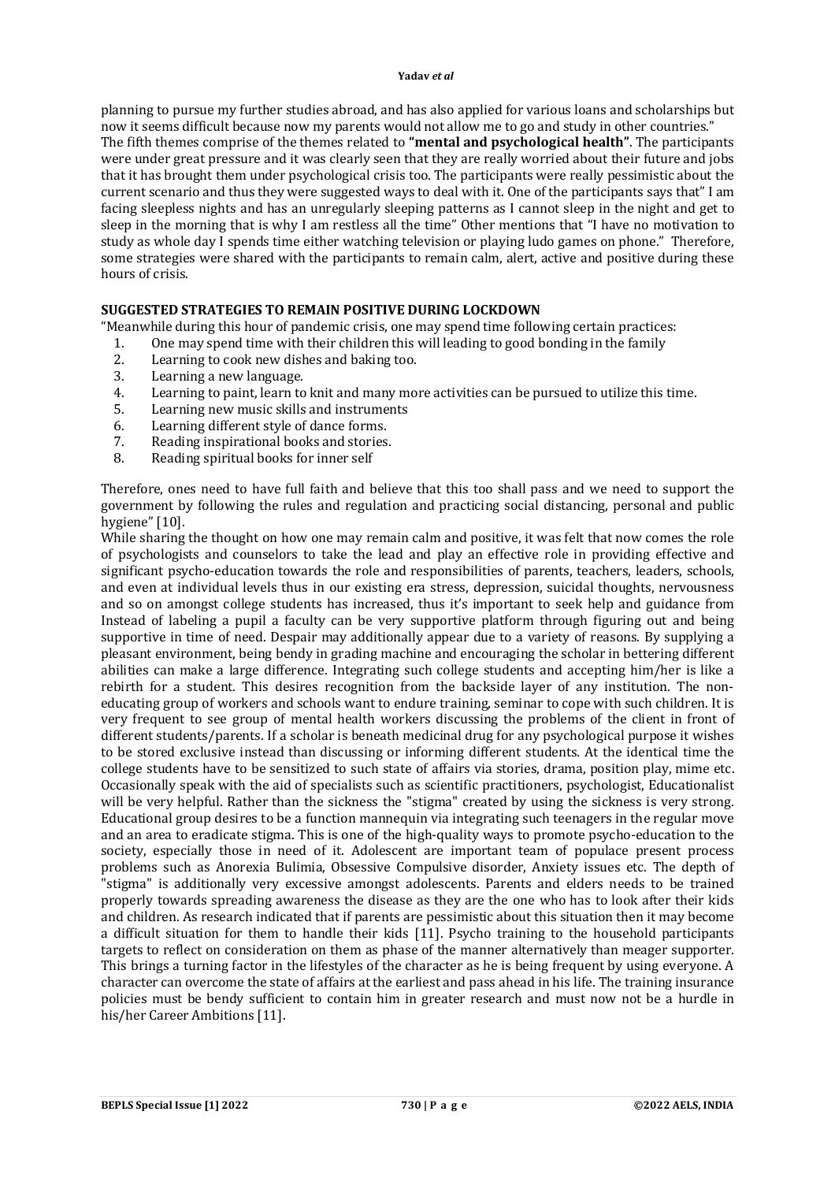planning to pursue my further studies abroad, and has also applied for various loans and scholarships but now it seems difficult because now my parents would not allow me to go and study in other countries." The fifth themes comprise of the themes related to **"mental and psychological health"**. The participants were under great pressure and it was clearly seen that they are really worried about their future and jobs that it has brought them under psychological crisis too. The participants were really pessimistic about the current scenario and thus they were suggested ways to deal with it. One of the participants says that" I am facing sleepless nights and has an unregularly sleeping patterns as I cannot sleep in the night and get to sleep in the morning that is why I am restless all the time" Other mentions that "I have no motivation to study as whole day I spends time either watching television or playing ludo games on phone." Therefore, some strategies were shared with the participants to remain calm, alert, active and positive during these hours of crisis.

# **SUGGESTED STRATEGIES TO REMAIN POSITIVE DURING LOCKDOWN**

"Meanwhile during this hour of pandemic crisis, one may spend time following certain practices:

- 1. One may spend time with their children this will leading to good bonding in the family
- 2. Learning to cook new dishes and baking too.<br>3. Learning a new language.
- Learning a new language.
- 4. Learning to paint, learn to knit and many more activities can be pursued to utilize this time.
- 5. Learning new music skills and instruments
- 6. Learning different style of dance forms.
- 7. Reading inspirational books and stories.
- 8. Reading spiritual books for inner self

Therefore, ones need to have full faith and believe that this too shall pass and we need to support the government by following the rules and regulation and practicing social distancing, personal and public hygiene" [10].

While sharing the thought on how one may remain calm and positive, it was felt that now comes the role of psychologists and counselors to take the lead and play an effective role in providing effective and significant psycho-education towards the role and responsibilities of parents, teachers, leaders, schools, and even at individual levels thus in our existing era stress, depression, suicidal thoughts, nervousness and so on amongst college students has increased, thus it's important to seek help and guidance from Instead of labeling a pupil a faculty can be very supportive platform through figuring out and being supportive in time of need. Despair may additionally appear due to a variety of reasons. By supplying a pleasant environment, being bendy in grading machine and encouraging the scholar in bettering different abilities can make a large difference. Integrating such college students and accepting him/her is like a rebirth for a student. This desires recognition from the backside layer of any institution. The noneducating group of workers and schools want to endure training, seminar to cope with such children. It is very frequent to see group of mental health workers discussing the problems of the client in front of different students/parents. If a scholar is beneath medicinal drug for any psychological purpose it wishes to be stored exclusive instead than discussing or informing different students. At the identical time the college students have to be sensitized to such state of affairs via stories, drama, position play, mime etc. Occasionally speak with the aid of specialists such as scientific practitioners, psychologist, Educationalist will be very helpful. Rather than the sickness the "stigma" created by using the sickness is very strong. Educational group desires to be a function mannequin via integrating such teenagers in the regular move and an area to eradicate stigma. This is one of the high-quality ways to promote psycho-education to the society, especially those in need of it. Adolescent are important team of populace present process problems such as Anorexia Bulimia, Obsessive Compulsive disorder, Anxiety issues etc. The depth of "stigma" is additionally very excessive amongst adolescents. Parents and elders needs to be trained properly towards spreading awareness the disease as they are the one who has to look after their kids and children. As research indicated that if parents are pessimistic about this situation then it may become a difficult situation for them to handle their kids [11]. Psycho training to the household participants targets to reflect on consideration on them as phase of the manner alternatively than meager supporter. This brings a turning factor in the lifestyles of the character as he is being frequent by using everyone. A character can overcome the state of affairs at the earliest and pass ahead in his life. The training insurance policies must be bendy sufficient to contain him in greater research and must now not be a hurdle in his/her Career Ambitions [11].